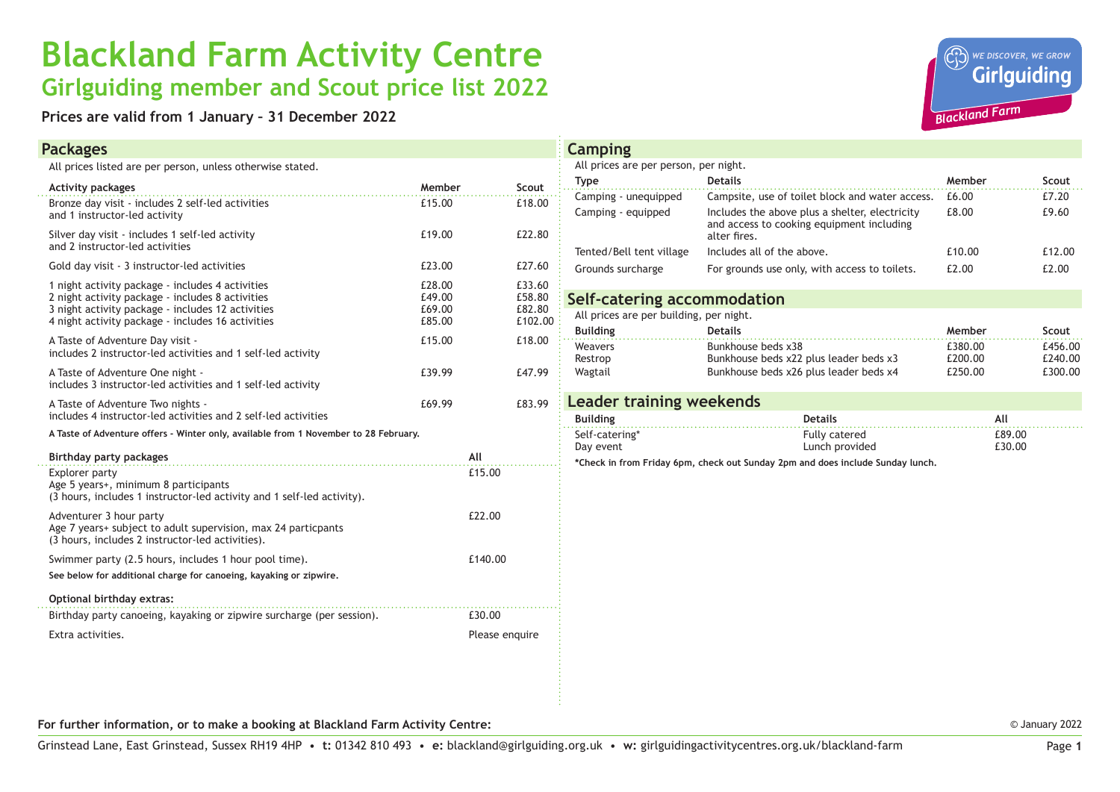## **Blackland Farm Activity Centre Girlguiding member and Scout price list 2022**

**Prices are valid from 1 January – 31 December 2022**

## **Packages**



| All prices listed are per person, unless otherwise stated. |  |  |
|------------------------------------------------------------|--|--|
|------------------------------------------------------------|--|--|

| <b>Activity packages</b>                                                                                                                                                                                       | Member                               |         | Scout                                 |  |
|----------------------------------------------------------------------------------------------------------------------------------------------------------------------------------------------------------------|--------------------------------------|---------|---------------------------------------|--|
| Bronze day visit - includes 2 self-led activities<br>and 1 instructor-led activity                                                                                                                             | £15.00                               |         | £18.00                                |  |
| Silver day visit - includes 1 self-led activity<br>and 2 instructor-led activities                                                                                                                             | £19.00                               |         | £22.80                                |  |
| Gold day visit - 3 instructor-led activities                                                                                                                                                                   | £23.00                               |         | £27.60                                |  |
| 1 night activity package - includes 4 activities<br>2 night activity package - includes 8 activities<br>3 night activity package - includes 12 activities<br>4 night activity package - includes 16 activities | £28.00<br>£49.00<br>£69.00<br>£85.00 |         | £33.60<br>£58.80<br>£82.80<br>£102.00 |  |
| A Taste of Adventure Day visit -<br>includes 2 instructor-led activities and 1 self-led activity                                                                                                               | £15.00                               |         | £18.00                                |  |
| A Taste of Adventure One night -<br>includes 3 instructor-led activities and 1 self-led activity                                                                                                               | £39.99                               |         | £47.99                                |  |
| A Taste of Adventure Two nights -<br>includes 4 instructor-led activities and 2 self-led activities                                                                                                            | £69.99                               |         | £83.99                                |  |
| A Taste of Adventure offers - Winter only, available from 1 November to 28 February.                                                                                                                           |                                      |         |                                       |  |
| <b>Birthday party packages</b>                                                                                                                                                                                 |                                      | All     |                                       |  |
| Explorer party<br>Age 5 years+, minimum 8 participants<br>(3 hours, includes 1 instructor-led activity and 1 self-led activity).                                                                               |                                      | £15.00  |                                       |  |
| Adventurer 3 hour party<br>Age 7 years+ subject to adult supervision, max 24 particpants<br>(3 hours, includes 2 instructor-led activities).                                                                   |                                      | £22.00  |                                       |  |
| Swimmer party (2.5 hours, includes 1 hour pool time).                                                                                                                                                          |                                      | £140.00 |                                       |  |
| See below for additional charge for canoeing, kayaking or zipwire,                                                                                                                                             |                                      |         |                                       |  |
| Optional birthday extras:                                                                                                                                                                                      |                                      |         |                                       |  |
| .<br>Birthday party canoeing, kayaking or zipwire surcharge (per session).                                                                                                                                     |                                      |         |                                       |  |
| Extra activities.                                                                                                                                                                                              |                                      |         | Please enquire                        |  |
|                                                                                                                                                                                                                |                                      |         |                                       |  |

| <b>Camping</b>                                                                 |                                                                                                             |                    |                    |  |  |  |
|--------------------------------------------------------------------------------|-------------------------------------------------------------------------------------------------------------|--------------------|--------------------|--|--|--|
| All prices are per person, per night.                                          |                                                                                                             |                    |                    |  |  |  |
| <b>Type</b>                                                                    | <b>Details</b>                                                                                              | Member             | Scout              |  |  |  |
| Camping - unequipped                                                           | f.6.00<br>Campsite, use of toilet block and water access.                                                   |                    | £7.20              |  |  |  |
| Camping - equipped                                                             | Includes the above plus a shelter, electricity<br>and access to cooking equipment including<br>alter fires. | f.8.00             |                    |  |  |  |
| Tented/Bell tent village                                                       | Includes all of the above.                                                                                  | £10.00             | £12.00             |  |  |  |
| Grounds surcharge                                                              | For grounds use only, with access to toilets.                                                               | £2.00              |                    |  |  |  |
| Self-catering accommodation                                                    |                                                                                                             |                    |                    |  |  |  |
| All prices are per building, per night.                                        |                                                                                                             |                    |                    |  |  |  |
| <b>Building</b>                                                                | <b>Details</b>                                                                                              | Member             | Scout              |  |  |  |
| Weavers                                                                        | Bunkhouse beds x38                                                                                          | £380.00            | £456.00            |  |  |  |
| Restrop<br>Wagtail                                                             | Bunkhouse beds x22 plus leader beds x3<br>Bunkhouse beds x26 plus leader beds x4                            | £200.00<br>£250.00 | £240.00<br>£300.00 |  |  |  |
|                                                                                |                                                                                                             |                    |                    |  |  |  |
| <b>Leader training weekends</b>                                                |                                                                                                             |                    |                    |  |  |  |
| <b>Building</b>                                                                | <b>Details</b>                                                                                              | All                |                    |  |  |  |
| Self-catering*                                                                 | <b>Fully catered</b>                                                                                        |                    | £89.00             |  |  |  |
| Day event                                                                      | Lunch provided                                                                                              |                    | £30.00             |  |  |  |
| *Check in from Friday 6pm, check out Sunday 2pm and does include Sunday lunch, |                                                                                                             |                    |                    |  |  |  |
|                                                                                |                                                                                                             |                    |                    |  |  |  |
|                                                                                |                                                                                                             |                    |                    |  |  |  |
|                                                                                |                                                                                                             |                    |                    |  |  |  |
|                                                                                |                                                                                                             |                    |                    |  |  |  |
|                                                                                |                                                                                                             |                    |                    |  |  |  |
|                                                                                |                                                                                                             |                    |                    |  |  |  |
|                                                                                |                                                                                                             |                    |                    |  |  |  |

**For further information, or to make a booking at Blackland Farm Activity Centre:**